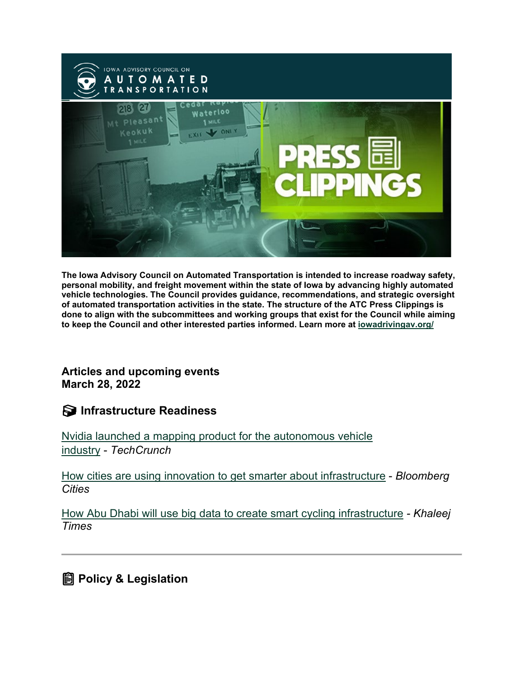

**The Iowa Advisory Council on Automated Transportation is intended to increase roadway safety, personal mobility, and freight movement within the state of Iowa by advancing highly automated vehicle technologies. The Council provides guidance, recommendations, and strategic oversight of automated transportation activities in the state. The structure of the ATC Press Clippings is done to align with the subcommittees and working groups that exist for the Council while aiming to keep the Council and other interested parties informed. Learn more at [iowadrivingav.org/](https://iowadrivingav.org/?utm_medium=email&utm_source=govdelivery)**

**Articles and upcoming events March 28, 2022**

**S** Infrastructure Readiness

[Nvidia launched a mapping product for the autonomous vehicle](https://techcrunch.com/2022/03/22/nvidia-launched-a-mapping-product-for-the-autonomous-vehicle-industry/?utm_medium=email&utm_source=govdelivery)  [industry](https://techcrunch.com/2022/03/22/nvidia-launched-a-mapping-product-for-the-autonomous-vehicle-industry/?utm_medium=email&utm_source=govdelivery) - *TechCrunch*

[How cities are using innovation to get smarter about infrastructure](https://bloombergcities.jhu.edu/news/how-cities-are-using-innovation-get-smarter-about-infrastructure?utm_medium=email&utm_source=govdelivery) - *Bloomberg Cities*

[How Abu Dhabi will use big data to create smart cycling infrastructure](https://www.khaleejtimes.com/uae/how-abu-dhabi-will-use-big-data-to-create-smart-cycling-infrastructure?utm_medium=email&utm_source=govdelivery) *- Khaleej Times*

## **Policy & Legislation**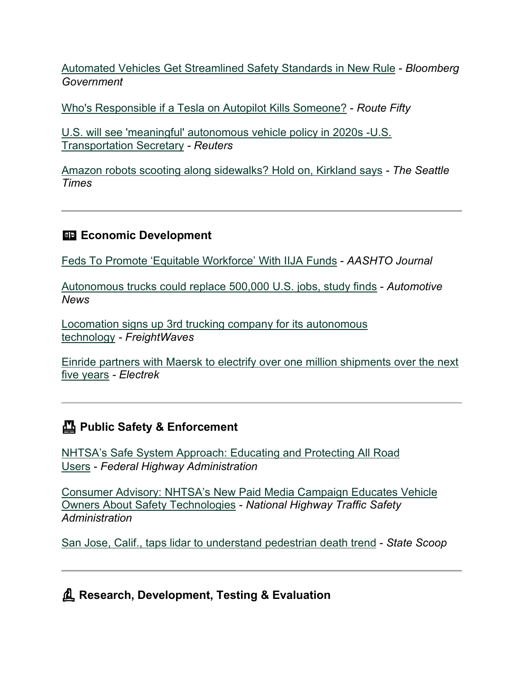[Automated Vehicles Get Streamlined Safety Standards in New Rule](https://about.bgov.com/news/automated-vehicles-get-streamlined-safety-standards-in-new-rule/?utm_medium=email&utm_source=govdelivery) - *Bloomberg Government*

[Who's Responsible if a Tesla on Autopilot Kills Someone?](https://www.route-fifty.com/tech-data/2022/03/whos-responsible-if-tesla-autopilot-kills-someone/363120/?utm_medium=email&utm_source=govdelivery) - *Route Fifty*

[U.S. will see 'meaningful' autonomous vehicle policy in 2020s -U.S.](https://www.reuters.com/article/usa-buttigieg-sxsw/u-s-will-see-meaningful-autonomous-vehicle-policy-in-2020s-u-s-transportation-secretary-idUSL5N2VJ73D?utm_medium=email&utm_source=govdelivery)  [Transportation Secretary](https://www.reuters.com/article/usa-buttigieg-sxsw/u-s-will-see-meaningful-autonomous-vehicle-policy-in-2020s-u-s-transportation-secretary-idUSL5N2VJ73D?utm_medium=email&utm_source=govdelivery) *- Reuters*

[Amazon robots scooting along sidewalks? Hold on, Kirkland says](https://www.seattletimes.com/seattle-news/eastside/for-now-kirkland-says-no-to-small-amazon-robots-scooting-along-streets-and-sidewalks/?utm_medium=email&utm_source=govdelivery) *- The Seattle Times*

#### **Exp. Economic Development**

[Feds To Promote 'Equitable Workforce' With IIJA Funds](https://aashtojournal.org/2022/03/11/feds-to-promote-equitable-workforce-with-iija-funds/?utm_medium=email&utm_source=govdelivery) - *AASHTO Journal*

[Autonomous trucks could replace 500,000 U.S. jobs, study finds](https://www.autonews.com/mobility-report/autonomous-trucks-could-replace-500000-us-jobs?utm_medium=email&utm_source=govdelivery) - *Automotive News*

[Locomation signs up 3rd trucking company for its autonomous](https://www.freightwaves.com/news/locomation-signs-up-third-trucking-company-to-test-autonomous-technology?utm_medium=email&utm_source=govdelivery)  [technology](https://www.freightwaves.com/news/locomation-signs-up-third-trucking-company-to-test-autonomous-technology?utm_medium=email&utm_source=govdelivery) *- FreightWaves*

[Einride partners with Maersk to electrify over one million shipments over the next](https://electrek.co/2022/03/24/einride-partners-with-maersk-to-electrify-over-one-million-shipments-over-the-next-five-years/?utm_medium=email&utm_source=govdelivery)  [five years](https://electrek.co/2022/03/24/einride-partners-with-maersk-to-electrify-over-one-million-shipments-over-the-next-five-years/?utm_medium=email&utm_source=govdelivery) *- Electrek*

## **Public Safety & Enforcement**

[NHTSA's Safe System Approach: Educating and Protecting All Road](https://highways.dot.gov/public-roads/winter-2022/04?utm_medium=email&utm_source=govdelivery)  [Users](https://highways.dot.gov/public-roads/winter-2022/04?utm_medium=email&utm_source=govdelivery) - *Federal Highway Administration*

[Consumer Advisory: NHTSA's New Paid Media Campaign Educates Vehicle](https://www.nhtsa.gov/press-releases/media-campaign-safety-technologies?utm_medium=email&utm_source=govdelivery)  [Owners About Safety Technologies](https://www.nhtsa.gov/press-releases/media-campaign-safety-technologies?utm_medium=email&utm_source=govdelivery) - *National Highway Traffic Safety Administration*

[San Jose, Calif., taps lidar to understand pedestrian death trend](https://statescoop.com/pedestrian-deaths-san-jose-lidar/?utm_medium=email&utm_source=govdelivery) - *State Scoop*

**Research, Development, Testing & Evaluation**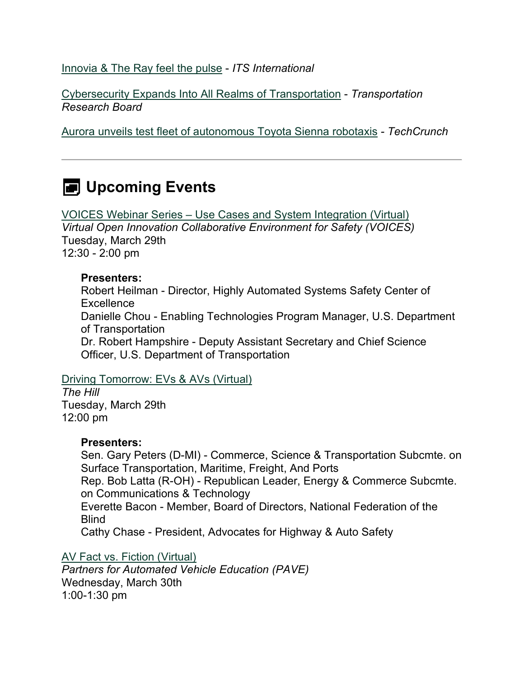[Innovia & The Ray feel the pulse](https://www.itsinternational.com/feature/innovia-ray-feel-pulse?utm_medium=email&utm_source=govdelivery) - *ITS International*

[Cybersecurity Expands Into All Realms of Transportation](https://www.nationalacademies.org/trb/blog/cybersecurity-expands-into-all-realms-of-transportation?utm_medium=email&utm_source=govdelivery) - *Transportation Research Board*

[Aurora unveils test fleet of autonomous Toyota Sienna robotaxis](https://techcrunch.com/2022/03/23/aurora-unveils-test-fleet-of-autonomous-toyota-sienna-robotaxis/?utm_medium=email&utm_source=govdelivery) *- TechCrunch*

## **E** Upcoming Events

[VOICES Webinar Series – Use Cases and System Integration \(Virtual\)](https://transportationops.org/event/voices-webinar-series-%E2%80%93-use-cases-and-system-integration?utm_medium=email&utm_source=govdelivery) *Virtual Open Innovation Collaborative Environment for Safety (VOICES)* Tuesday, March 29th 12:30 - 2:00 pm

#### **Presenters:**

Robert Heilman - Director, Highly Automated Systems Safety Center of **Excellence** Danielle Chou - Enabling Technologies Program Manager, U.S. Department of Transportation Dr. Robert Hampshire - Deputy Assistant Secretary and Chief Science Officer, U.S. Department of Transportation

#### [Driving Tomorrow: EVs & AVs \(Virtual\)](https://thehill.com/event/598086-driving-tomorrow-evs-avs?utm_medium=email&utm_source=govdelivery)

*The Hill* Tuesday, March 29th 12:00 pm

#### **Presenters:**

Sen. Gary Peters (D-MI) - Commerce, Science & Transportation Subcmte. on Surface Transportation, Maritime, Freight, And Ports Rep. Bob Latta (R-OH) - Republican Leader, Energy & Commerce Subcmte. on Communications & Technology Everette Bacon - Member, Board of Directors, National Federation of the **Blind** Cathy Chase - President, Advocates for Highway & Auto Safety

[AV Fact vs. Fiction \(Virtual\)](https://pavecampaign.org/event/pave-virtual-panel-fact-vs-fiction/?utm_medium=email&utm_source=govdelivery)

*Partners for Automated Vehicle Education (PAVE)* Wednesday, March 30th 1:00-1:30 pm